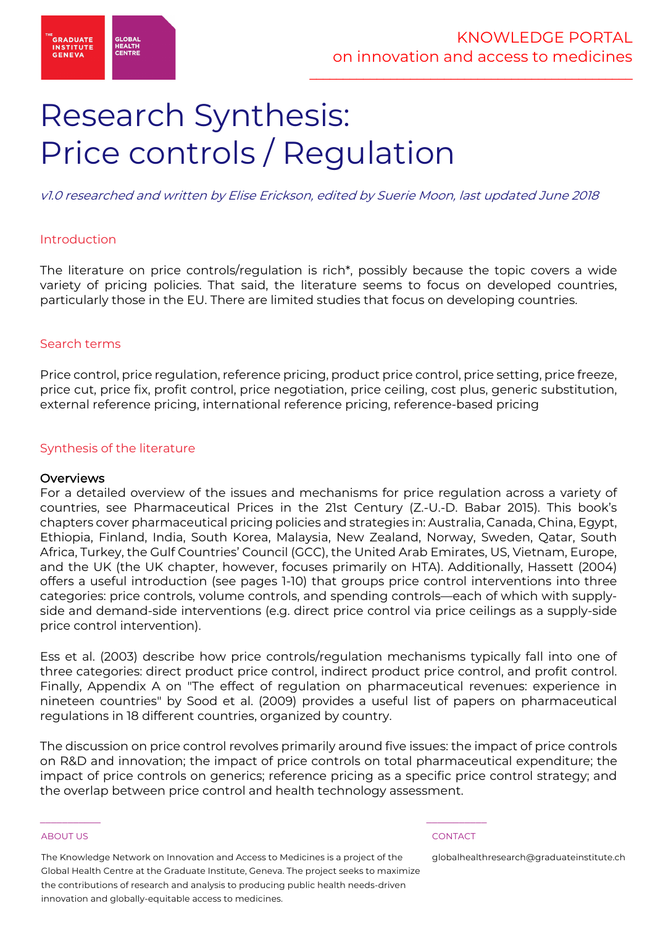

# Research Synthesis: Price controls / Regulation

v1.0 researched and written by Elise Erickson, edited by Suerie Moon, last updated June 2018

# Introduction

The literature on price controls/regulation is rich\*, possibly because the topic covers a wide variety of pricing policies. That said, the literature seems to focus on developed countries, particularly those in the EU. There are limited studies that focus on developing countries.

# Search terms

Price control, price regulation, reference pricing, product price control, price setting, price freeze, price cut, price fix, profit control, price negotiation, price ceiling, cost plus, generic substitution, external reference pricing, international reference pricing, reference-based pricing

# Synthesis of the literature

### **Overviews**

For a detailed overview of the issues and mechanisms for price regulation across a variety of countries, see Pharmaceutical Prices in the 21st Century (Z.-U.-D. Babar 2015). This book's chapters cover pharmaceutical pricing policies and strategies in: Australia, Canada, China, Egypt, Ethiopia, Finland, India, South Korea, Malaysia, New Zealand, Norway, Sweden, Qatar, South Africa, Turkey, the Gulf Countries' Council (GCC), the United Arab Emirates, US, Vietnam, Europe, and the UK (the UK chapter, however, focuses primarily on HTA). Additionally, Hassett (2004) offers a useful introduction (see pages 1-10) that groups price control interventions into three categories: price controls, volume controls, and spending controls—each of which with supplyside and demand-side interventions (e.g. direct price control via price ceilings as a supply-side price control intervention).

Ess et al. (2003) describe how price controls/regulation mechanisms typically fall into one of three categories: direct product price control, indirect product price control, and profit control. Finally, Appendix A on "The effect of regulation on pharmaceutical revenues: experience in nineteen countries" by Sood et al. (2009) provides a useful list of papers on pharmaceutical regulations in 18 different countries, organized by country.

The discussion on price control revolves primarily around five issues: the impact of price controls on R&D and innovation; the impact of price controls on total pharmaceutical expenditure; the impact of price controls on generics; reference pricing as a specific price control strategy; and the overlap between price control and health technology assessment.

### ABOUT US CONTACT AND RESERVE THE RELEASE OF THE RELEASE OF THE RELEASE OF THE RELEASE OF THE RELEASE OF THE RELEASE OF THE RELEASE OF THE RELEASE OF THE RELEASE OF THE RELEASE OF THE RELEASE OF THE RELEASE OF THE RELEASE O

The Knowledge Network on Innovation and Access to Medicines is a project of the Global Health Centre at the Graduate Institute, Geneva. The project seeks to maximize the contributions of research and analysis to producing public health needs-driven innovation and globally-equitable access to medicines.

 $\frac{1}{2}$  , and the set of the set of the set of the set of the set of the set of the set of the set of the set of the set of the set of the set of the set of the set of the set of the set of the set of the set of the set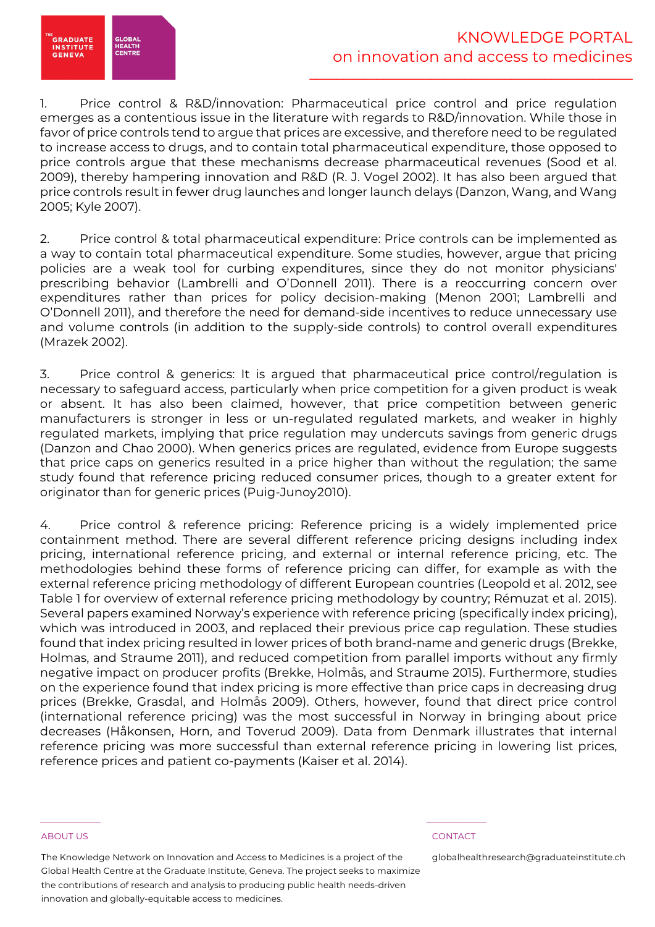

1. Price control & R&D/innovation: Pharmaceutical price control and price regulation emerges as a contentious issue in the literature with regards to R&D/innovation. While those in favor of price controls tend to argue that prices are excessive, and therefore need to be regulated to increase access to drugs, and to contain total pharmaceutical expenditure, those opposed to price controls argue that these mechanisms decrease pharmaceutical revenues (Sood et al. 2009), thereby hampering innovation and R&D (R. J. Vogel 2002). It has also been argued that price controls result in fewer drug launches and longer launch delays (Danzon, Wang, and Wang 2005; Kyle 2007).

2. Price control & total pharmaceutical expenditure: Price controls can be implemented as a way to contain total pharmaceutical expenditure. Some studies, however, argue that pricing policies are a weak tool for curbing expenditures, since they do not monitor physicians' prescribing behavior (Lambrelli and O'Donnell 2011). There is a reoccurring concern over expenditures rather than prices for policy decision-making (Menon 2001; Lambrelli and O'Donnell 2011), and therefore the need for demand-side incentives to reduce unnecessary use and volume controls (in addition to the supply-side controls) to control overall expenditures (Mrazek 2002).

3. Price control & generics: It is argued that pharmaceutical price control/regulation is necessary to safeguard access, particularly when price competition for a given product is weak or absent. It has also been claimed, however, that price competition between generic manufacturers is stronger in less or un-regulated regulated markets, and weaker in highly regulated markets, implying that price regulation may undercuts savings from generic drugs (Danzon and Chao 2000). When generics prices are regulated, evidence from Europe suggests that price caps on generics resulted in a price higher than without the regulation; the same study found that reference pricing reduced consumer prices, though to a greater extent for originator than for generic prices (Puig-Junoy2010).

4. Price control & reference pricing: Reference pricing is a widely implemented price containment method. There are several different reference pricing designs including index pricing, international reference pricing, and external or internal reference pricing, etc. The methodologies behind these forms of reference pricing can differ, for example as with the external reference pricing methodology of different European countries (Leopold et al. 2012, see Table 1 for overview of external reference pricing methodology by country; Rémuzat et al. 2015). Several papers examined Norway's experience with reference pricing (specifically index pricing), which was introduced in 2003, and replaced their previous price cap regulation. These studies found that index pricing resulted in lower prices of both brand-name and generic drugs (Brekke, Holmas, and Straume 2011), and reduced competition from parallel imports without any firmly negative impact on producer profits (Brekke, Holmås, and Straume 2015). Furthermore, studies on the experience found that index pricing is more effective than price caps in decreasing drug prices (Brekke, Grasdal, and Holmås 2009). Others, however, found that direct price control (international reference pricing) was the most successful in Norway in bringing about price decreases (Håkonsen, Horn, and Toverud 2009). Data from Denmark illustrates that internal reference pricing was more successful than external reference pricing in lowering list prices, reference prices and patient co-payments (Kaiser et al. 2014).

ABOUT US CONTACT AND RESERVE THE RELEASE OF THE RELEASE OF THE RELEASE OF THE RELEASE OF THE RELEASE OF THE RELEASE OF THE RELEASE OF THE RELEASE OF THE RELEASE OF THE RELEASE OF THE RELEASE OF THE RELEASE OF THE RELEASE O

The Knowledge Network on Innovation and Access to Medicines is a project of the Global Health Centre at the Graduate Institute, Geneva. The project seeks to maximize the contributions of research and analysis to producing public health needs-driven innovation and globally-equitable access to medicines.

 $\frac{1}{2}$  , and the set of the set of the set of the set of the set of the set of the set of the set of the set of the set of the set of the set of the set of the set of the set of the set of the set of the set of the set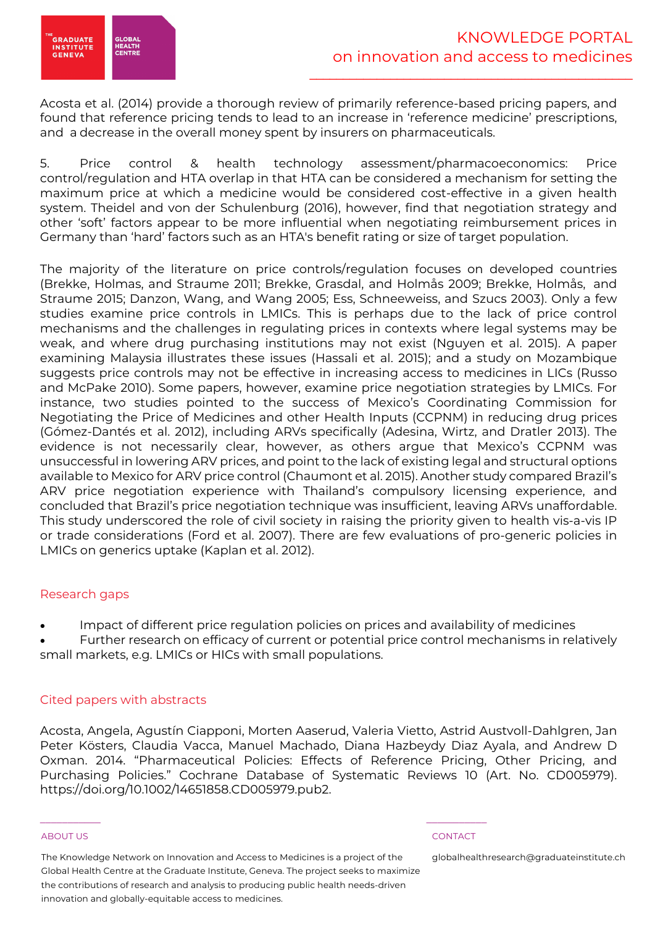

Acosta et al. (2014) provide a thorough review of primarily reference-based pricing papers, and found that reference pricing tends to lead to an increase in 'reference medicine' prescriptions, and a decrease in the overall money spent by insurers on pharmaceuticals.

5. Price control & health technology assessment/pharmacoeconomics: Price control/regulation and HTA overlap in that HTA can be considered a mechanism for setting the maximum price at which a medicine would be considered cost-effective in a given health system. Theidel and von der Schulenburg (2016), however, find that negotiation strategy and other 'soft' factors appear to be more influential when negotiating reimbursement prices in Germany than 'hard' factors such as an HTA's benefit rating or size of target population.

The majority of the literature on price controls/regulation focuses on developed countries (Brekke, Holmas, and Straume 2011; Brekke, Grasdal, and Holmås 2009; Brekke, Holmås, and Straume 2015; Danzon, Wang, and Wang 2005; Ess, Schneeweiss, and Szucs 2003). Only a few studies examine price controls in LMICs. This is perhaps due to the lack of price control mechanisms and the challenges in regulating prices in contexts where legal systems may be weak, and where drug purchasing institutions may not exist (Nguyen et al. 2015). A paper examining Malaysia illustrates these issues (Hassali et al. 2015); and a study on Mozambique suggests price controls may not be effective in increasing access to medicines in LICs (Russo and McPake 2010). Some papers, however, examine price negotiation strategies by LMICs. For instance, two studies pointed to the success of Mexico's Coordinating Commission for Negotiating the Price of Medicines and other Health Inputs (CCPNM) in reducing drug prices (Gómez-Dantés et al. 2012), including ARVs specifically (Adesina, Wirtz, and Dratler 2013). The evidence is not necessarily clear, however, as others argue that Mexico's CCPNM was unsuccessful in lowering ARV prices, and point to the lack of existing legal and structural options available to Mexico for ARV price control (Chaumont et al. 2015). Another study compared Brazil's ARV price negotiation experience with Thailand's compulsory licensing experience, and concluded that Brazil's price negotiation technique was insufficient, leaving ARVs unaffordable. This study underscored the role of civil society in raising the priority given to health vis-a-vis IP or trade considerations (Ford et al. 2007). There are few evaluations of pro-generic policies in LMICs on generics uptake (Kaplan et al. 2012).

# Research gaps

Impact of different price regulation policies on prices and availability of medicines

• Further research on efficacy of current or potential price control mechanisms in relatively small markets, e.g. LMICs or HICs with small populations.

### Cited papers with abstracts

Acosta, Angela, Agustín Ciapponi, Morten Aaserud, Valeria Vietto, Astrid Austvoll-Dahlgren, Jan Peter Kösters, Claudia Vacca, Manuel Machado, Diana Hazbeydy Diaz Ayala, and Andrew D Oxman. 2014. "Pharmaceutical Policies: Effects of Reference Pricing, Other Pricing, and Purchasing Policies." Cochrane Database of Systematic Reviews 10 (Art. No. CD005979). https://doi.org/10.1002/14651858.CD005979.pub2.

### ABOUT US CONTACT AND RESERVE THE RELEASE OF THE RELEASE OF THE RELEASE OF THE RELEASE OF THE RELEASE OF THE RELEASE OF THE RELEASE OF THE RELEASE OF THE RELEASE OF THE RELEASE OF THE RELEASE OF THE RELEASE OF THE RELEASE O

The Knowledge Network on Innovation and Access to Medicines is a project of the Global Health Centre at the Graduate Institute, Geneva. The project seeks to maximize the contributions of research and analysis to producing public health needs-driven innovation and globally-equitable access to medicines.

 $\frac{1}{2}$  , and the set of the set of the set of the set of the set of the set of the set of the set of the set of the set of the set of the set of the set of the set of the set of the set of the set of the set of the set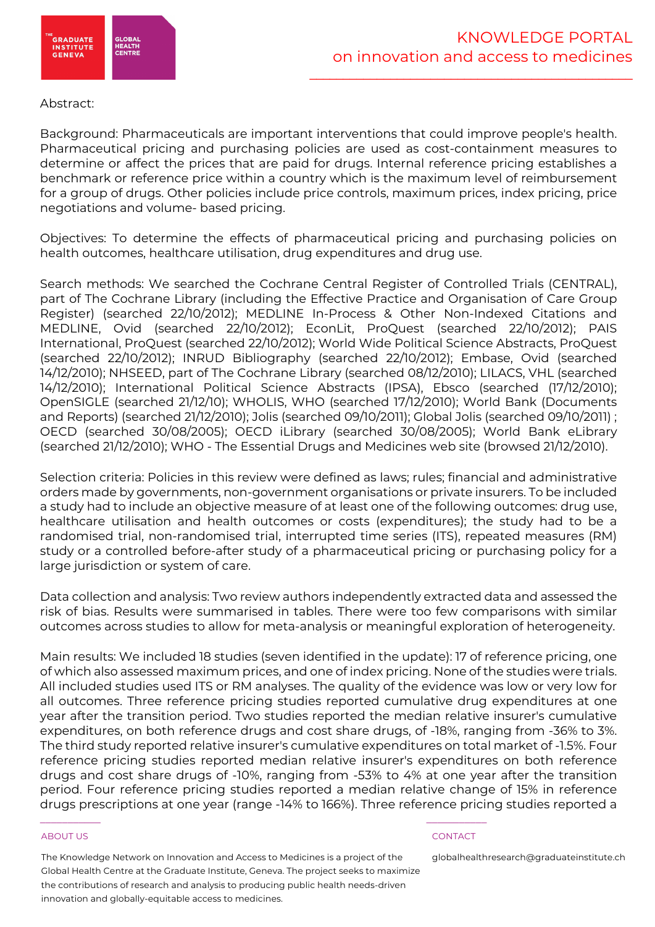

# Abstract:

Background: Pharmaceuticals are important interventions that could improve people's health. Pharmaceutical pricing and purchasing policies are used as cost-containment measures to determine or affect the prices that are paid for drugs. Internal reference pricing establishes a benchmark or reference price within a country which is the maximum level of reimbursement for a group of drugs. Other policies include price controls, maximum prices, index pricing, price negotiations and volume- based pricing.

Objectives: To determine the effects of pharmaceutical pricing and purchasing policies on health outcomes, healthcare utilisation, drug expenditures and drug use.

Search methods: We searched the Cochrane Central Register of Controlled Trials (CENTRAL), part of The Cochrane Library (including the Effective Practice and Organisation of Care Group Register) (searched 22/10/2012); MEDLINE In-Process & Other Non-Indexed Citations and MEDLINE, Ovid (searched 22/10/2012); EconLit, ProQuest (searched 22/10/2012); PAIS International, ProQuest (searched 22/10/2012); World Wide Political Science Abstracts, ProQuest (searched 22/10/2012); INRUD Bibliography (searched 22/10/2012); Embase, Ovid (searched 14/12/2010); NHSEED, part of The Cochrane Library (searched 08/12/2010); LILACS, VHL (searched 14/12/2010); International Political Science Abstracts (IPSA), Ebsco (searched (17/12/2010); OpenSIGLE (searched 21/12/10); WHOLIS, WHO (searched 17/12/2010); World Bank (Documents and Reports) (searched 21/12/2010); Jolis (searched 09/10/2011); Global Jolis (searched 09/10/2011) ; OECD (searched 30/08/2005); OECD iLibrary (searched 30/08/2005); World Bank eLibrary (searched 21/12/2010); WHO - The Essential Drugs and Medicines web site (browsed 21/12/2010).

Selection criteria: Policies in this review were defined as laws; rules; financial and administrative orders made by governments, non-government organisations or private insurers. To be included a study had to include an objective measure of at least one of the following outcomes: drug use, healthcare utilisation and health outcomes or costs (expenditures); the study had to be a randomised trial, non-randomised trial, interrupted time series (ITS), repeated measures (RM) study or a controlled before-after study of a pharmaceutical pricing or purchasing policy for a large jurisdiction or system of care.

Data collection and analysis: Two review authors independently extracted data and assessed the risk of bias. Results were summarised in tables. There were too few comparisons with similar outcomes across studies to allow for meta-analysis or meaningful exploration of heterogeneity.

Main results: We included 18 studies (seven identified in the update): 17 of reference pricing, one of which also assessed maximum prices, and one of index pricing. None of the studies were trials. All included studies used ITS or RM analyses. The quality of the evidence was low or very low for all outcomes. Three reference pricing studies reported cumulative drug expenditures at one year after the transition period. Two studies reported the median relative insurer's cumulative expenditures, on both reference drugs and cost share drugs, of -18%, ranging from -36% to 3%. The third study reported relative insurer's cumulative expenditures on total market of -1.5%. Four reference pricing studies reported median relative insurer's expenditures on both reference drugs and cost share drugs of -10%, ranging from -53% to 4% at one year after the transition period. Four reference pricing studies reported a median relative change of 15% in reference drugs prescriptions at one year (range -14% to 166%). Three reference pricing studies reported a

### ABOUT US CONTACT AND RESERVE THE RELEASE OF THE RELEASE OF THE RELEASE OF THE RELEASE OF THE RELEASE OF THE RELEASE OF THE RELEASE OF THE RELEASE OF THE RELEASE OF THE RELEASE OF THE RELEASE OF THE RELEASE OF THE RELEASE O

The Knowledge Network on Innovation and Access to Medicines is a project of the Global Health Centre at the Graduate Institute, Geneva. The project seeks to maximize the contributions of research and analysis to producing public health needs-driven innovation and globally-equitable access to medicines.

 $\frac{1}{2}$  , and the set of the set of the set of the set of the set of the set of the set of the set of the set of the set of the set of the set of the set of the set of the set of the set of the set of the set of the set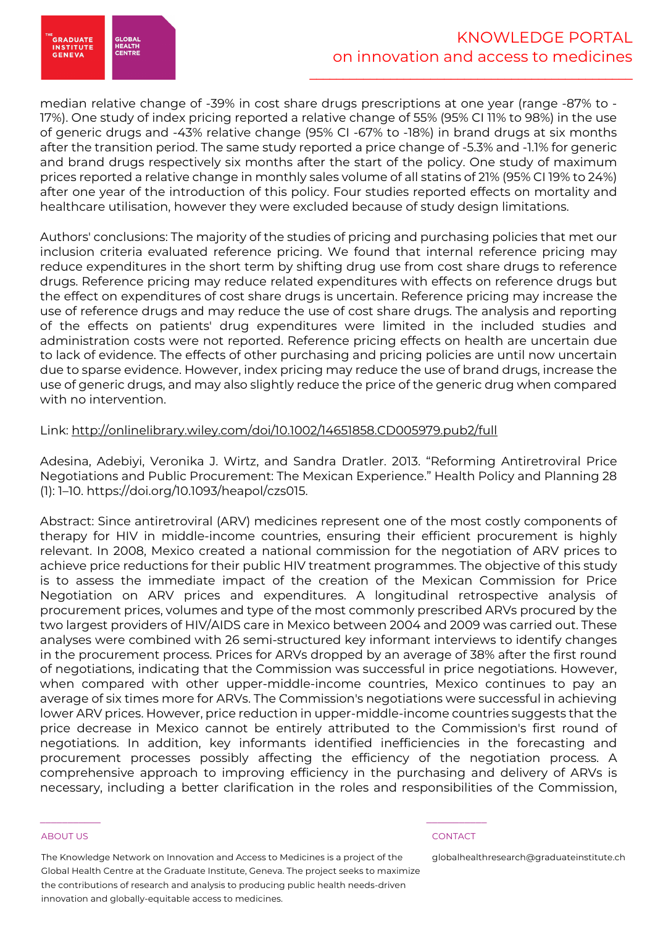.<br>GRADUATE<br>INSTITUTE **HEALTH<br>CENTR GENEVA** 

median relative change of -39% in cost share drugs prescriptions at one year (range -87% to - 17%). One study of index pricing reported a relative change of 55% (95% CI 11% to 98%) in the use of generic drugs and -43% relative change (95% CI -67% to -18%) in brand drugs at six months after the transition period. The same study reported a price change of -5.3% and -1.1% for generic and brand drugs respectively six months after the start of the policy. One study of maximum prices reported a relative change in monthly sales volume of all statins of 21% (95% CI 19% to 24%) after one year of the introduction of this policy. Four studies reported effects on mortality and healthcare utilisation, however they were excluded because of study design limitations.

Authors' conclusions: The majority of the studies of pricing and purchasing policies that met our inclusion criteria evaluated reference pricing. We found that internal reference pricing may reduce expenditures in the short term by shifting drug use from cost share drugs to reference drugs. Reference pricing may reduce related expenditures with effects on reference drugs but the effect on expenditures of cost share drugs is uncertain. Reference pricing may increase the use of reference drugs and may reduce the use of cost share drugs. The analysis and reporting of the effects on patients' drug expenditures were limited in the included studies and administration costs were not reported. Reference pricing effects on health are uncertain due to lack of evidence. The effects of other purchasing and pricing policies are until now uncertain due to sparse evidence. However, index pricing may reduce the use of brand drugs, increase the use of generic drugs, and may also slightly reduce the price of the generic drug when compared with no intervention.

# Link: http://onlinelibrary.wiley.com/doi/10.1002/14651858.CD005979.pub2/full

Adesina, Adebiyi, Veronika J. Wirtz, and Sandra Dratler. 2013. "Reforming Antiretroviral Price Negotiations and Public Procurement: The Mexican Experience." Health Policy and Planning 28 (1): 1–10. https://doi.org/10.1093/heapol/czs015.

Abstract: Since antiretroviral (ARV) medicines represent one of the most costly components of therapy for HIV in middle-income countries, ensuring their efficient procurement is highly relevant. In 2008, Mexico created a national commission for the negotiation of ARV prices to achieve price reductions for their public HIV treatment programmes. The objective of this study is to assess the immediate impact of the creation of the Mexican Commission for Price Negotiation on ARV prices and expenditures. A longitudinal retrospective analysis of procurement prices, volumes and type of the most commonly prescribed ARVs procured by the two largest providers of HIV/AIDS care in Mexico between 2004 and 2009 was carried out. These analyses were combined with 26 semi-structured key informant interviews to identify changes in the procurement process. Prices for ARVs dropped by an average of 38% after the first round of negotiations, indicating that the Commission was successful in price negotiations. However, when compared with other upper-middle-income countries, Mexico continues to pay an average of six times more for ARVs. The Commission's negotiations were successful in achieving lower ARV prices. However, price reduction in upper-middle-income countries suggests that the price decrease in Mexico cannot be entirely attributed to the Commission's first round of negotiations. In addition, key informants identified inefficiencies in the forecasting and procurement processes possibly affecting the efficiency of the negotiation process. A comprehensive approach to improving efficiency in the purchasing and delivery of ARVs is necessary, including a better clarification in the roles and responsibilities of the Commission,

### ABOUT US CONTACT AND RESERVE THE RELEASE OF THE RELEASE OF THE RELEASE OF THE RELEASE OF THE RELEASE OF THE RELEASE OF THE RELEASE OF THE RELEASE OF THE RELEASE OF THE RELEASE OF THE RELEASE OF THE RELEASE OF THE RELEASE O

The Knowledge Network on Innovation and Access to Medicines is a project of the Global Health Centre at the Graduate Institute, Geneva. The project seeks to maximize the contributions of research and analysis to producing public health needs-driven innovation and globally-equitable access to medicines.

 $\frac{1}{2}$  , and the set of the set of the set of the set of the set of the set of the set of the set of the set of the set of the set of the set of the set of the set of the set of the set of the set of the set of the set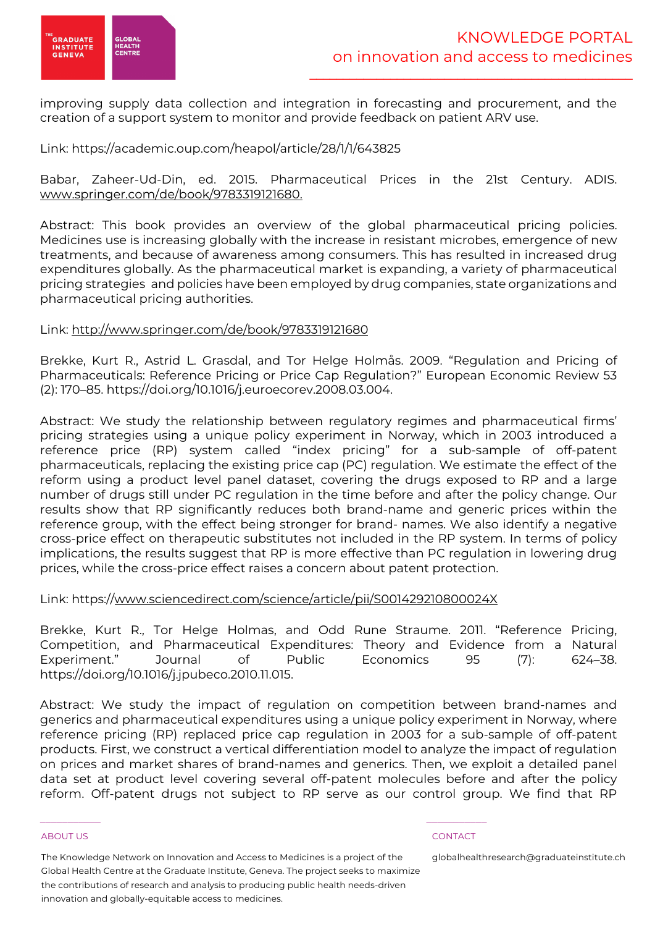

improving supply data collection and integration in forecasting and procurement, and the creation of a support system to monitor and provide feedback on patient ARV use.

# Link: https://academic.oup.com/heapol/article/28/1/1/643825

Babar, Zaheer-Ud-Din, ed. 2015. Pharmaceutical Prices in the 21st Century. ADIS. www.springer.com/de/book/9783319121680.

Abstract: This book provides an overview of the global pharmaceutical pricing policies. Medicines use is increasing globally with the increase in resistant microbes, emergence of new treatments, and because of awareness among consumers. This has resulted in increased drug expenditures globally. As the pharmaceutical market is expanding, a variety of pharmaceutical pricing strategies and policies have been employed by drug companies, state organizations and pharmaceutical pricing authorities.

### Link: http://www.springer.com/de/book/9783319121680

Brekke, Kurt R., Astrid L. Grasdal, and Tor Helge Holmås. 2009. "Regulation and Pricing of Pharmaceuticals: Reference Pricing or Price Cap Regulation?" European Economic Review 53 (2): 170–85. https://doi.org/10.1016/j.euroecorev.2008.03.004.

Abstract: We study the relationship between regulatory regimes and pharmaceutical firms' pricing strategies using a unique policy experiment in Norway, which in 2003 introduced a reference price (RP) system called "index pricing" for a sub-sample of off-patent pharmaceuticals, replacing the existing price cap (PC) regulation. We estimate the effect of the reform using a product level panel dataset, covering the drugs exposed to RP and a large number of drugs still under PC regulation in the time before and after the policy change. Our results show that RP significantly reduces both brand-name and generic prices within the reference group, with the effect being stronger for brand- names. We also identify a negative cross-price effect on therapeutic substitutes not included in the RP system. In terms of policy implications, the results suggest that RP is more effective than PC regulation in lowering drug prices, while the cross-price effect raises a concern about patent protection.

# Link: https://www.sciencedirect.com/science/article/pii/S001429210800024X

Brekke, Kurt R., Tor Helge Holmas, and Odd Rune Straume. 2011. "Reference Pricing, Competition, and Pharmaceutical Expenditures: Theory and Evidence from a Natural Experiment." Journal of Public Economics 95 (7): 624–38. https://doi.org/10.1016/j.jpubeco.2010.11.015.

Abstract: We study the impact of regulation on competition between brand-names and generics and pharmaceutical expenditures using a unique policy experiment in Norway, where reference pricing (RP) replaced price cap regulation in 2003 for a sub-sample of off-patent products. First, we construct a vertical differentiation model to analyze the impact of regulation on prices and market shares of brand-names and generics. Then, we exploit a detailed panel data set at product level covering several off-patent molecules before and after the policy reform. Off-patent drugs not subject to RP serve as our control group. We find that RP

### ABOUT US CONTACT AND RESERVE THE RELEASE OF THE RELEASE OF THE RELEASE OF THE RELEASE OF THE RELEASE OF THE RELEASE OF THE RELEASE OF THE RELEASE OF THE RELEASE OF THE RELEASE OF THE RELEASE OF THE RELEASE OF THE RELEASE O

The Knowledge Network on Innovation and Access to Medicines is a project of the Global Health Centre at the Graduate Institute, Geneva. The project seeks to maximize the contributions of research and analysis to producing public health needs-driven innovation and globally-equitable access to medicines.

 $\frac{1}{2}$  , and the set of the set of the set of the set of the set of the set of the set of the set of the set of the set of the set of the set of the set of the set of the set of the set of the set of the set of the set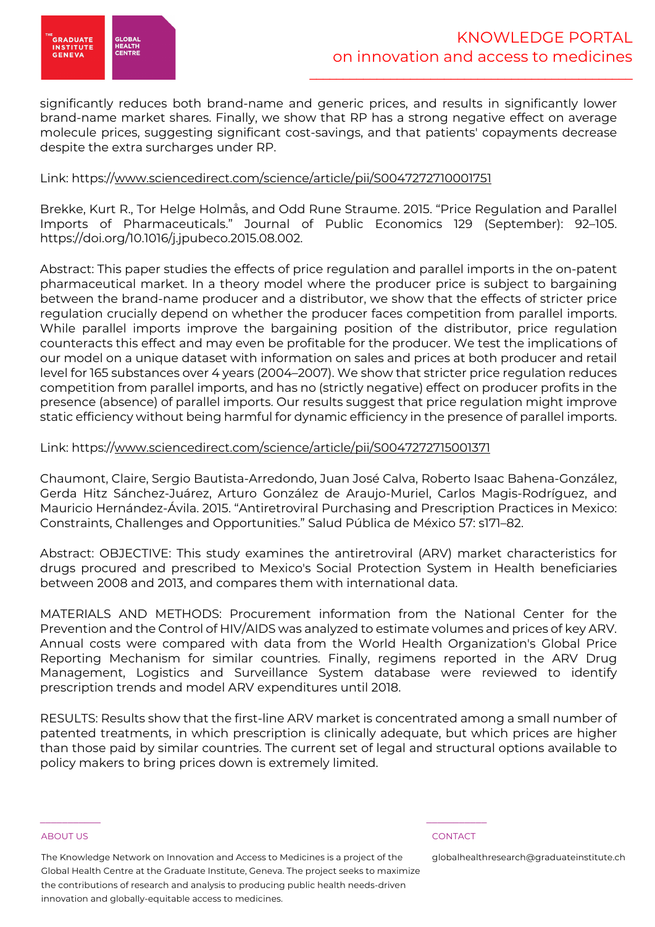

significantly reduces both brand-name and generic prices, and results in significantly lower brand-name market shares. Finally, we show that RP has a strong negative effect on average molecule prices, suggesting significant cost-savings, and that patients' copayments decrease despite the extra surcharges under RP.

# Link: https://www.sciencedirect.com/science/article/pii/S0047272710001751

Brekke, Kurt R., Tor Helge Holmås, and Odd Rune Straume. 2015. "Price Regulation and Parallel Imports of Pharmaceuticals." Journal of Public Economics 129 (September): 92–105. https://doi.org/10.1016/j.jpubeco.2015.08.002.

Abstract: This paper studies the effects of price regulation and parallel imports in the on-patent pharmaceutical market. In a theory model where the producer price is subject to bargaining between the brand-name producer and a distributor, we show that the effects of stricter price regulation crucially depend on whether the producer faces competition from parallel imports. While parallel imports improve the bargaining position of the distributor, price regulation counteracts this effect and may even be profitable for the producer. We test the implications of our model on a unique dataset with information on sales and prices at both producer and retail level for 165 substances over 4 years (2004–2007). We show that stricter price regulation reduces competition from parallel imports, and has no (strictly negative) effect on producer profits in the presence (absence) of parallel imports. Our results suggest that price regulation might improve static efficiency without being harmful for dynamic efficiency in the presence of parallel imports.

# Link: https://www.sciencedirect.com/science/article/pii/S0047272715001371

Chaumont, Claire, Sergio Bautista-Arredondo, Juan José Calva, Roberto Isaac Bahena-González, Gerda Hitz Sánchez-Juárez, Arturo González de Araujo-Muriel, Carlos Magis-Rodríguez, and Mauricio Hernández-Ávila. 2015. "Antiretroviral Purchasing and Prescription Practices in Mexico: Constraints, Challenges and Opportunities." Salud Pública de México 57: s171–82.

Abstract: OBJECTIVE: This study examines the antiretroviral (ARV) market characteristics for drugs procured and prescribed to Mexico's Social Protection System in Health beneficiaries between 2008 and 2013, and compares them with international data.

MATERIALS AND METHODS: Procurement information from the National Center for the Prevention and the Control of HIV/AIDS was analyzed to estimate volumes and prices of key ARV. Annual costs were compared with data from the World Health Organization's Global Price Reporting Mechanism for similar countries. Finally, regimens reported in the ARV Drug Management, Logistics and Surveillance System database were reviewed to identify prescription trends and model ARV expenditures until 2018.

RESULTS: Results show that the first-line ARV market is concentrated among a small number of patented treatments, in which prescription is clinically adequate, but which prices are higher than those paid by similar countries. The current set of legal and structural options available to policy makers to bring prices down is extremely limited.

### ABOUT US CONTACT AND RESERVE THE RELEASE OF THE RELEASE OF THE RELEASE OF THE RELEASE OF THE RELEASE OF THE RELEASE OF THE RELEASE OF THE RELEASE OF THE RELEASE OF THE RELEASE OF THE RELEASE OF THE RELEASE OF THE RELEASE O

The Knowledge Network on Innovation and Access to Medicines is a project of the Global Health Centre at the Graduate Institute, Geneva. The project seeks to maximize the contributions of research and analysis to producing public health needs-driven innovation and globally-equitable access to medicines.

 $\frac{1}{2}$  , and the set of the set of the set of the set of the set of the set of the set of the set of the set of the set of the set of the set of the set of the set of the set of the set of the set of the set of the set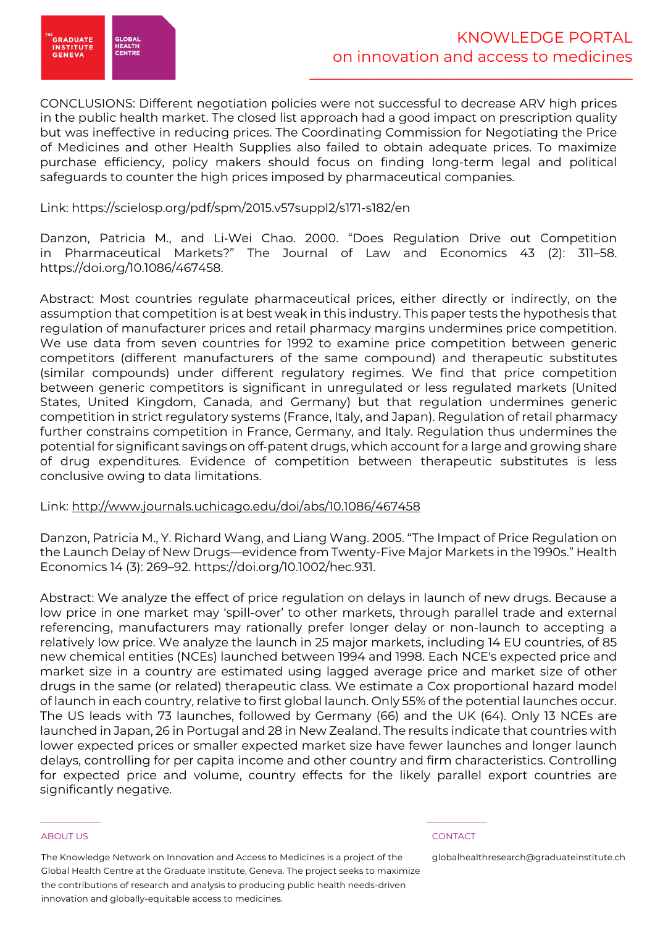

CONCLUSIONS: Different negotiation policies were not successful to decrease ARV high prices in the public health market. The closed list approach had a good impact on prescription quality but was ineffective in reducing prices. The Coordinating Commission for Negotiating the Price of Medicines and other Health Supplies also failed to obtain adequate prices. To maximize purchase efficiency, policy makers should focus on finding long-term legal and political safeguards to counter the high prices imposed by pharmaceutical companies.

# Link: https://scielosp.org/pdf/spm/2015.v57suppl2/s171-s182/en

Danzon, Patricia M., and Li-Wei Chao. 2000. "Does Regulation Drive out Competition in Pharmaceutical Markets?" The Journal of Law and Economics 43 (2): 311–58. https://doi.org/10.1086/467458.

Abstract: Most countries regulate pharmaceutical prices, either directly or indirectly, on the assumption that competition is at best weak in this industry. This paper tests the hypothesis that regulation of manufacturer prices and retail pharmacy margins undermines price competition. We use data from seven countries for 1992 to examine price competition between generic competitors (different manufacturers of the same compound) and therapeutic substitutes (similar compounds) under different regulatory regimes. We find that price competition between generic competitors is significant in unregulated or less regulated markets (United States, United Kingdom, Canada, and Germany) but that regulation undermines generic competition in strict regulatory systems (France, Italy, and Japan). Regulation of retail pharmacy further constrains competition in France, Germany, and Italy. Regulation thus undermines the potential for significant savings on off-patent drugs, which account for a large and growing share of drug expenditures. Evidence of competition between therapeutic substitutes is less conclusive owing to data limitations.

# Link: http://www.journals.uchicago.edu/doi/abs/10.1086/467458

Danzon, Patricia M., Y. Richard Wang, and Liang Wang. 2005. "The Impact of Price Regulation on the Launch Delay of New Drugs—evidence from Twenty-Five Major Markets in the 1990s." Health Economics 14 (3): 269–92. https://doi.org/10.1002/hec.931.

Abstract: We analyze the effect of price regulation on delays in launch of new drugs. Because a low price in one market may 'spill-over' to other markets, through parallel trade and external referencing, manufacturers may rationally prefer longer delay or non-launch to accepting a relatively low price. We analyze the launch in 25 major markets, including 14 EU countries, of 85 new chemical entities (NCEs) launched between 1994 and 1998. Each NCE's expected price and market size in a country are estimated using lagged average price and market size of other drugs in the same (or related) therapeutic class. We estimate a Cox proportional hazard model of launch in each country, relative to first global launch. Only 55% of the potential launches occur. The US leads with 73 launches, followed by Germany (66) and the UK (64). Only 13 NCEs are launched in Japan, 26 in Portugal and 28 in New Zealand. The results indicate that countries with lower expected prices or smaller expected market size have fewer launches and longer launch delays, controlling for per capita income and other country and firm characteristics. Controlling for expected price and volume, country effects for the likely parallel export countries are significantly negative.

### ABOUT US CONTACT AND RESERVE THE RELEASE OF THE RELEASE OF THE RELEASE OF THE RELEASE OF THE RELEASE OF THE RELEASE OF THE RELEASE OF THE RELEASE OF THE RELEASE OF THE RELEASE OF THE RELEASE OF THE RELEASE OF THE RELEASE O

The Knowledge Network on Innovation and Access to Medicines is a project of the Global Health Centre at the Graduate Institute, Geneva. The project seeks to maximize the contributions of research and analysis to producing public health needs-driven innovation and globally-equitable access to medicines.

 $\frac{1}{2}$  , and the set of the set of the set of the set of the set of the set of the set of the set of the set of the set of the set of the set of the set of the set of the set of the set of the set of the set of the set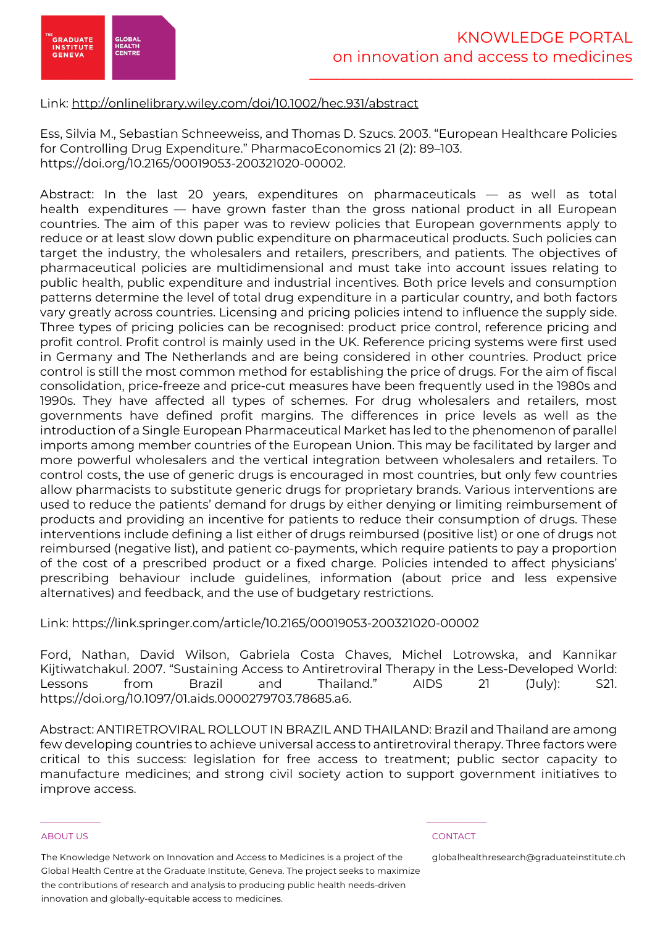

# Link: http://onlinelibrary.wiley.com/doi/10.1002/hec.931/abstract

Ess, Silvia M., Sebastian Schneeweiss, and Thomas D. Szucs. 2003. "European Healthcare Policies for Controlling Drug Expenditure." PharmacoEconomics 21 (2): 89–103. https://doi.org/10.2165/00019053-200321020-00002.

Abstract: In the last 20 years, expenditures on pharmaceuticals — as well as total health expenditures — have grown faster than the gross national product in all European countries. The aim of this paper was to review policies that European governments apply to reduce or at least slow down public expenditure on pharmaceutical products. Such policies can target the industry, the wholesalers and retailers, prescribers, and patients. The objectives of pharmaceutical policies are multidimensional and must take into account issues relating to public health, public expenditure and industrial incentives. Both price levels and consumption patterns determine the level of total drug expenditure in a particular country, and both factors vary greatly across countries. Licensing and pricing policies intend to influence the supply side. Three types of pricing policies can be recognised: product price control, reference pricing and profit control. Profit control is mainly used in the UK. Reference pricing systems were first used in Germany and The Netherlands and are being considered in other countries. Product price control is still the most common method for establishing the price of drugs. For the aim of fiscal consolidation, price-freeze and price-cut measures have been frequently used in the 1980s and 1990s. They have affected all types of schemes. For drug wholesalers and retailers, most governments have defined profit margins. The differences in price levels as well as the introduction of a Single European Pharmaceutical Market has led to the phenomenon of parallel imports among member countries of the European Union. This may be facilitated by larger and more powerful wholesalers and the vertical integration between wholesalers and retailers. To control costs, the use of generic drugs is encouraged in most countries, but only few countries allow pharmacists to substitute generic drugs for proprietary brands. Various interventions are used to reduce the patients' demand for drugs by either denying or limiting reimbursement of products and providing an incentive for patients to reduce their consumption of drugs. These interventions include defining a list either of drugs reimbursed (positive list) or one of drugs not reimbursed (negative list), and patient co-payments, which require patients to pay a proportion of the cost of a prescribed product or a fixed charge. Policies intended to affect physicians' prescribing behaviour include guidelines, information (about price and less expensive alternatives) and feedback, and the use of budgetary restrictions.

Link: https://link.springer.com/article/10.2165/00019053-200321020-00002

 $\frac{1}{2}$  , and the set of the set of the set of the set of the set of the set of the set of the set of the set of the set of the set of the set of the set of the set of the set of the set of the set of the set of the set

Ford, Nathan, David Wilson, Gabriela Costa Chaves, Michel Lotrowska, and Kannikar Kijtiwatchakul. 2007. "Sustaining Access to Antiretroviral Therapy in the Less-Developed World: Lessons from Brazil and Thailand." AIDS 21 (July): S21. https://doi.org/10.1097/01.aids.0000279703.78685.a6.

Abstract: ANTIRETROVIRAL ROLLOUT IN BRAZIL AND THAILAND: Brazil and Thailand are among few developing countries to achieve universal access to antiretroviral therapy. Three factors were critical to this success: legislation for free access to treatment; public sector capacity to manufacture medicines; and strong civil society action to support government initiatives to improve access.

### ABOUT US CONTACT AND RESERVE THE RELEASE OF THE RELEASE OF THE RELEASE OF THE RELEASE OF THE RELEASE OF THE RELEASE OF THE RELEASE OF THE RELEASE OF THE RELEASE OF THE RELEASE OF THE RELEASE OF THE RELEASE OF THE RELEASE O

The Knowledge Network on Innovation and Access to Medicines is a project of the Global Health Centre at the Graduate Institute, Geneva. The project seeks to maximize the contributions of research and analysis to producing public health needs-driven innovation and globally-equitable access to medicines.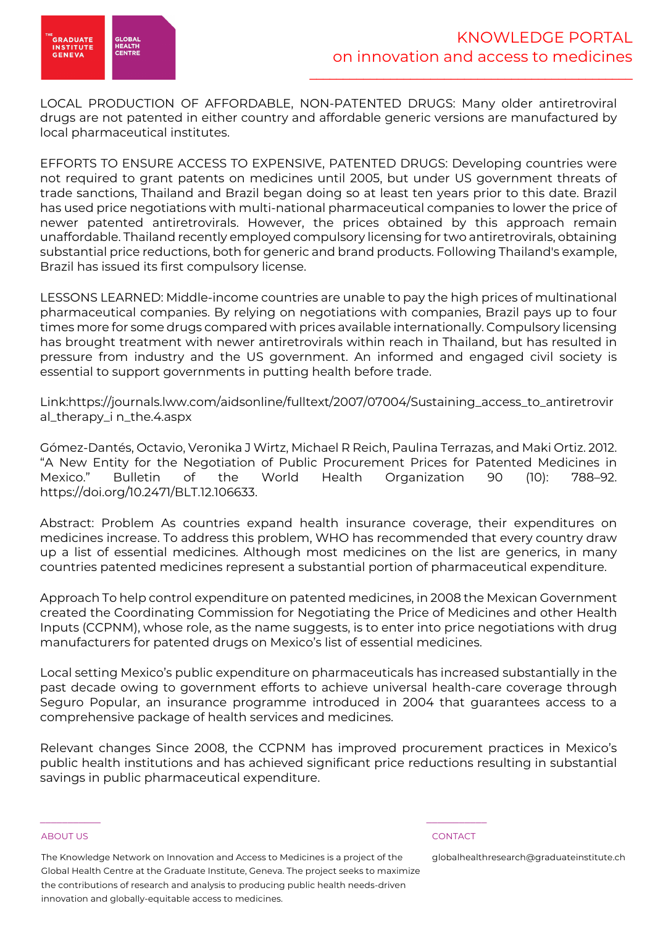

LOCAL PRODUCTION OF AFFORDABLE, NON-PATENTED DRUGS: Many older antiretroviral drugs are not patented in either country and affordable generic versions are manufactured by local pharmaceutical institutes.

EFFORTS TO ENSURE ACCESS TO EXPENSIVE, PATENTED DRUGS: Developing countries were not required to grant patents on medicines until 2005, but under US government threats of trade sanctions, Thailand and Brazil began doing so at least ten years prior to this date. Brazil has used price negotiations with multi-national pharmaceutical companies to lower the price of newer patented antiretrovirals. However, the prices obtained by this approach remain unaffordable. Thailand recently employed compulsory licensing for two antiretrovirals, obtaining substantial price reductions, both for generic and brand products. Following Thailand's example, Brazil has issued its first compulsory license.

LESSONS LEARNED: Middle-income countries are unable to pay the high prices of multinational pharmaceutical companies. By relying on negotiations with companies, Brazil pays up to four times more for some drugs compared with prices available internationally. Compulsory licensing has brought treatment with newer antiretrovirals within reach in Thailand, but has resulted in pressure from industry and the US government. An informed and engaged civil society is essential to support governments in putting health before trade.

Link:https://journals.lww.com/aidsonline/fulltext/2007/07004/Sustaining\_access\_to\_antiretrovir al\_therapy\_i n\_the.4.aspx

Gómez-Dantés, Octavio, Veronika J Wirtz, Michael R Reich, Paulina Terrazas, and Maki Ortiz. 2012. "A New Entity for the Negotiation of Public Procurement Prices for Patented Medicines in Mexico." Bulletin of the World Health Organization 90 (10): 788–92. https://doi.org/10.2471/BLT.12.106633.

Abstract: Problem As countries expand health insurance coverage, their expenditures on medicines increase. To address this problem, WHO has recommended that every country draw up a list of essential medicines. Although most medicines on the list are generics, in many countries patented medicines represent a substantial portion of pharmaceutical expenditure.

Approach To help control expenditure on patented medicines, in 2008 the Mexican Government created the Coordinating Commission for Negotiating the Price of Medicines and other Health Inputs (CCPNM), whose role, as the name suggests, is to enter into price negotiations with drug manufacturers for patented drugs on Mexico's list of essential medicines.

Local setting Mexico's public expenditure on pharmaceuticals has increased substantially in the past decade owing to government efforts to achieve universal health-care coverage through Seguro Popular, an insurance programme introduced in 2004 that guarantees access to a comprehensive package of health services and medicines.

Relevant changes Since 2008, the CCPNM has improved procurement practices in Mexico's public health institutions and has achieved significant price reductions resulting in substantial savings in public pharmaceutical expenditure.

### ABOUT US CONTACT AND RESERVE THE RELEASE OF THE RELEASE OF THE RELEASE OF THE RELEASE OF THE RELEASE OF THE RELEASE OF THE RELEASE OF THE RELEASE OF THE RELEASE OF THE RELEASE OF THE RELEASE OF THE RELEASE OF THE RELEASE O

The Knowledge Network on Innovation and Access to Medicines is a project of the Global Health Centre at the Graduate Institute, Geneva. The project seeks to maximize the contributions of research and analysis to producing public health needs-driven innovation and globally-equitable access to medicines.

 $\frac{1}{2}$  , and the set of the set of the set of the set of the set of the set of the set of the set of the set of the set of the set of the set of the set of the set of the set of the set of the set of the set of the set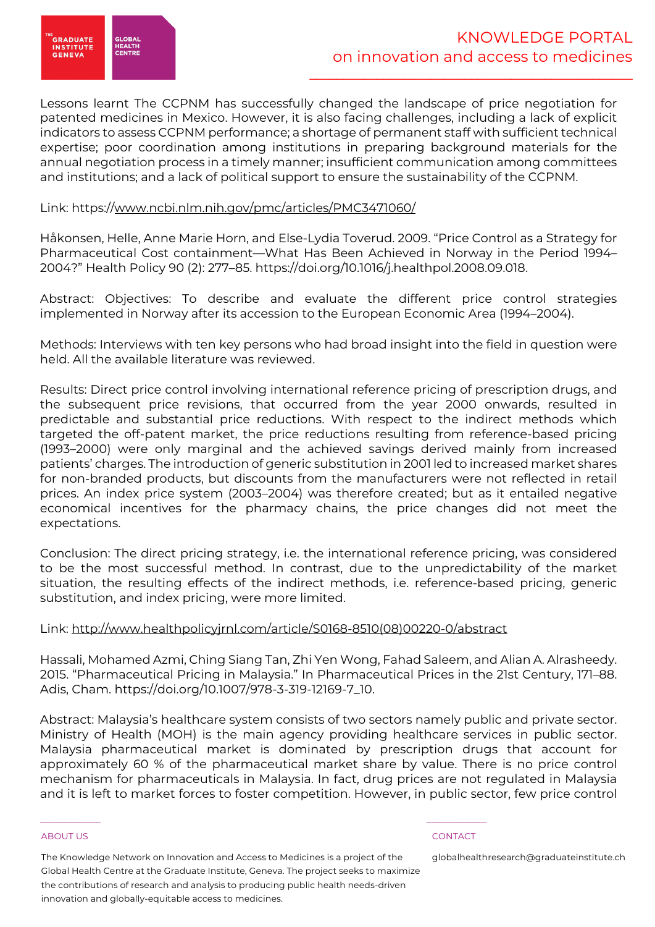

Lessons learnt The CCPNM has successfully changed the landscape of price negotiation for patented medicines in Mexico. However, it is also facing challenges, including a lack of explicit indicators to assess CCPNM performance; a shortage of permanent staff with sufficient technical expertise; poor coordination among institutions in preparing background materials for the annual negotiation process in a timely manner; insufficient communication among committees and institutions; and a lack of political support to ensure the sustainability of the CCPNM.

# Link: https://www.ncbi.nlm.nih.gov/pmc/articles/PMC3471060/

Håkonsen, Helle, Anne Marie Horn, and Else-Lydia Toverud. 2009. "Price Control as a Strategy for Pharmaceutical Cost containment—What Has Been Achieved in Norway in the Period 1994– 2004?" Health Policy 90 (2): 277–85. https://doi.org/10.1016/j.healthpol.2008.09.018.

Abstract: Objectives: To describe and evaluate the different price control strategies implemented in Norway after its accession to the European Economic Area (1994–2004).

Methods: Interviews with ten key persons who had broad insight into the field in question were held. All the available literature was reviewed.

Results: Direct price control involving international reference pricing of prescription drugs, and the subsequent price revisions, that occurred from the year 2000 onwards, resulted in predictable and substantial price reductions. With respect to the indirect methods which targeted the off-patent market, the price reductions resulting from reference-based pricing (1993–2000) were only marginal and the achieved savings derived mainly from increased patients' charges. The introduction of generic substitution in 2001 led to increased market shares for non-branded products, but discounts from the manufacturers were not reflected in retail prices. An index price system (2003–2004) was therefore created; but as it entailed negative economical incentives for the pharmacy chains, the price changes did not meet the expectations.

Conclusion: The direct pricing strategy, i.e. the international reference pricing, was considered to be the most successful method. In contrast, due to the unpredictability of the market situation, the resulting effects of the indirect methods, i.e. reference-based pricing, generic substitution, and index pricing, were more limited.

# Link: http://www.healthpolicyjrnl.com/article/S0168-8510(08)00220-0/abstract

Hassali, Mohamed Azmi, Ching Siang Tan, Zhi Yen Wong, Fahad Saleem, and Alian A. Alrasheedy. 2015. "Pharmaceutical Pricing in Malaysia." In Pharmaceutical Prices in the 21st Century, 171–88. Adis, Cham. https://doi.org/10.1007/978-3-319-12169-7\_10.

Abstract: Malaysia's healthcare system consists of two sectors namely public and private sector. Ministry of Health (MOH) is the main agency providing healthcare services in public sector. Malaysia pharmaceutical market is dominated by prescription drugs that account for approximately 60 % of the pharmaceutical market share by value. There is no price control mechanism for pharmaceuticals in Malaysia. In fact, drug prices are not regulated in Malaysia and it is left to market forces to foster competition. However, in public sector, few price control

### ABOUT US CONTACT AND RESERVE THE RELEASE OF THE RELEASE OF THE RELEASE OF THE RELEASE OF THE RELEASE OF THE RELEASE OF THE RELEASE OF THE RELEASE OF THE RELEASE OF THE RELEASE OF THE RELEASE OF THE RELEASE OF THE RELEASE O

The Knowledge Network on Innovation and Access to Medicines is a project of the Global Health Centre at the Graduate Institute, Geneva. The project seeks to maximize the contributions of research and analysis to producing public health needs-driven innovation and globally-equitable access to medicines.

 $\frac{1}{2}$  , and the set of the set of the set of the set of the set of the set of the set of the set of the set of the set of the set of the set of the set of the set of the set of the set of the set of the set of the set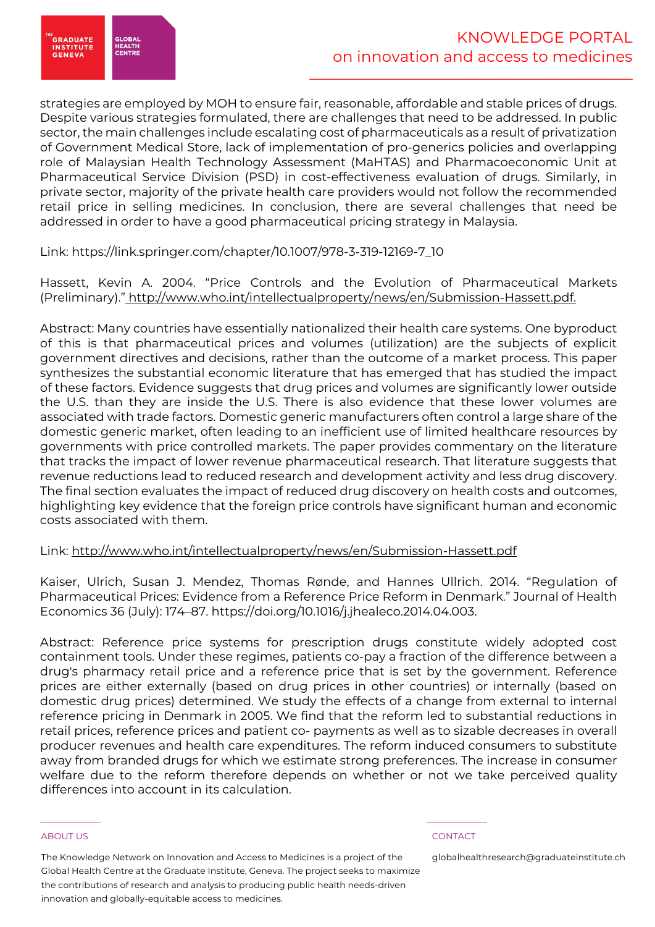

strategies are employed by MOH to ensure fair, reasonable, affordable and stable prices of drugs. Despite various strategies formulated, there are challenges that need to be addressed. In public sector, the main challenges include escalating cost of pharmaceuticals as a result of privatization of Government Medical Store, lack of implementation of pro-generics policies and overlapping role of Malaysian Health Technology Assessment (MaHTAS) and Pharmacoeconomic Unit at Pharmaceutical Service Division (PSD) in cost-effectiveness evaluation of drugs. Similarly, in private sector, majority of the private health care providers would not follow the recommended retail price in selling medicines. In conclusion, there are several challenges that need be addressed in order to have a good pharmaceutical pricing strategy in Malaysia.

Link: https://link.springer.com/chapter/10.1007/978-3-319-12169-7\_10

Hassett, Kevin A. 2004. "Price Controls and the Evolution of Pharmaceutical Markets (Preliminary)." http://www.who.int/intellectualproperty/news/en/Submission-Hassett.pdf.

Abstract: Many countries have essentially nationalized their health care systems. One byproduct of this is that pharmaceutical prices and volumes (utilization) are the subjects of explicit government directives and decisions, rather than the outcome of a market process. This paper synthesizes the substantial economic literature that has emerged that has studied the impact of these factors. Evidence suggests that drug prices and volumes are significantly lower outside the U.S. than they are inside the U.S. There is also evidence that these lower volumes are associated with trade factors. Domestic generic manufacturers often control a large share of the domestic generic market, often leading to an inefficient use of limited healthcare resources by governments with price controlled markets. The paper provides commentary on the literature that tracks the impact of lower revenue pharmaceutical research. That literature suggests that revenue reductions lead to reduced research and development activity and less drug discovery. The final section evaluates the impact of reduced drug discovery on health costs and outcomes, highlighting key evidence that the foreign price controls have significant human and economic costs associated with them.

# Link: http://www.who.int/intellectualproperty/news/en/Submission-Hassett.pdf

Kaiser, Ulrich, Susan J. Mendez, Thomas Rønde, and Hannes Ullrich. 2014. "Regulation of Pharmaceutical Prices: Evidence from a Reference Price Reform in Denmark." Journal of Health Economics 36 (July): 174–87. https://doi.org/10.1016/j.jhealeco.2014.04.003.

Abstract: Reference price systems for prescription drugs constitute widely adopted cost containment tools. Under these regimes, patients co-pay a fraction of the difference between a drug's pharmacy retail price and a reference price that is set by the government. Reference prices are either externally (based on drug prices in other countries) or internally (based on domestic drug prices) determined. We study the effects of a change from external to internal reference pricing in Denmark in 2005. We find that the reform led to substantial reductions in retail prices, reference prices and patient co- payments as well as to sizable decreases in overall producer revenues and health care expenditures. The reform induced consumers to substitute away from branded drugs for which we estimate strong preferences. The increase in consumer welfare due to the reform therefore depends on whether or not we take perceived quality differences into account in its calculation.

### ABOUT US CONTACT AND RESERVE THE RELEASE OF THE RELEASE OF THE RELEASE OF THE RELEASE OF THE RELEASE OF THE RELEASE OF THE RELEASE OF THE RELEASE OF THE RELEASE OF THE RELEASE OF THE RELEASE OF THE RELEASE OF THE RELEASE O

The Knowledge Network on Innovation and Access to Medicines is a project of the Global Health Centre at the Graduate Institute, Geneva. The project seeks to maximize the contributions of research and analysis to producing public health needs-driven innovation and globally-equitable access to medicines.

 $\frac{1}{2}$  , and the set of the set of the set of the set of the set of the set of the set of the set of the set of the set of the set of the set of the set of the set of the set of the set of the set of the set of the set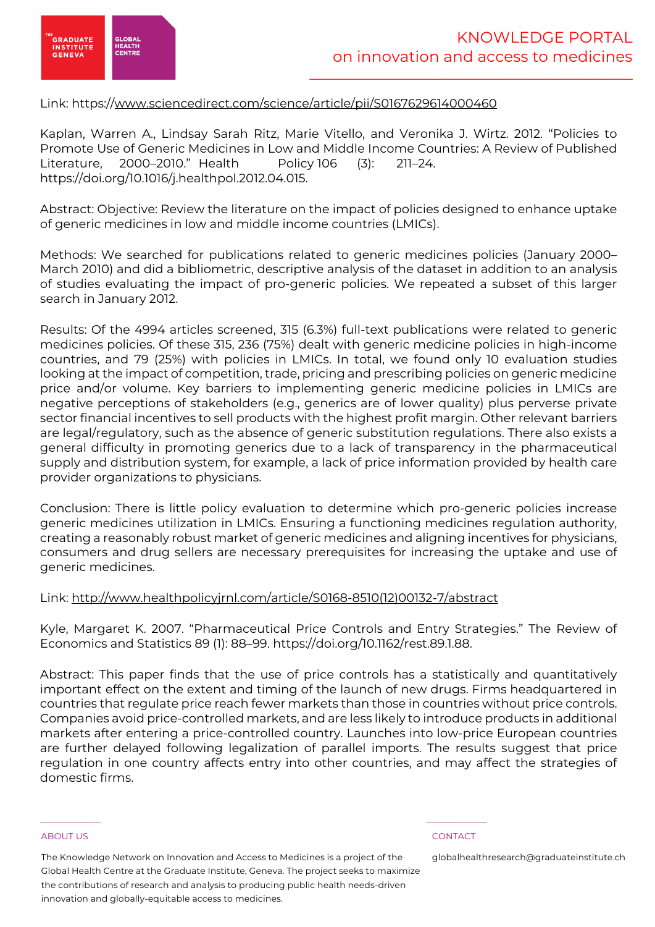

# Link: https://www.sciencedirect.com/science/article/pii/S0167629614000460

Kaplan, Warren A., Lindsay Sarah Ritz, Marie Vitello, and Veronika J. Wirtz. 2012. "Policies to Promote Use of Generic Medicines in Low and Middle Income Countries: A Review of Published Literature, 2000–2010." Health Policy 106 (3): 211–24. https://doi.org/10.1016/j.healthpol.2012.04.015.

Abstract: Objective: Review the literature on the impact of policies designed to enhance uptake of generic medicines in low and middle income countries (LMICs).

Methods: We searched for publications related to generic medicines policies (January 2000– March 2010) and did a bibliometric, descriptive analysis of the dataset in addition to an analysis of studies evaluating the impact of pro-generic policies. We repeated a subset of this larger search in January 2012.

Results: Of the 4994 articles screened, 315 (6.3%) full-text publications were related to generic medicines policies. Of these 315, 236 (75%) dealt with generic medicine policies in high-income countries, and 79 (25%) with policies in LMICs. In total, we found only 10 evaluation studies looking at the impact of competition, trade, pricing and prescribing policies on generic medicine price and/or volume. Key barriers to implementing generic medicine policies in LMICs are negative perceptions of stakeholders (e.g., generics are of lower quality) plus perverse private sector financial incentives to sell products with the highest profit margin. Other relevant barriers are legal/regulatory, such as the absence of generic substitution regulations. There also exists a general difficulty in promoting generics due to a lack of transparency in the pharmaceutical supply and distribution system, for example, a lack of price information provided by health care provider organizations to physicians.

Conclusion: There is little policy evaluation to determine which pro-generic policies increase generic medicines utilization in LMICs. Ensuring a functioning medicines regulation authority, creating a reasonably robust market of generic medicines and aligning incentives for physicians, consumers and drug sellers are necessary prerequisites for increasing the uptake and use of generic medicines.

# Link: http://www.healthpolicyjrnl.com/article/S0168-8510(12)00132-7/abstract

Kyle, Margaret K. 2007. "Pharmaceutical Price Controls and Entry Strategies." The Review of Economics and Statistics 89 (1): 88–99. https://doi.org/10.1162/rest.89.1.88.

Abstract: This paper finds that the use of price controls has a statistically and quantitatively important effect on the extent and timing of the launch of new drugs. Firms headquartered in countries that regulate price reach fewer markets than those in countries without price controls. Companies avoid price-controlled markets, and are less likely to introduce products in additional markets after entering a price-controlled country. Launches into low-price European countries are further delayed following legalization of parallel imports. The results suggest that price regulation in one country affects entry into other countries, and may affect the strategies of domestic firms.

### ABOUT US CONTACT AND RESERVE THE RELEASE OF THE RELEASE OF THE RELEASE OF THE RELEASE OF THE RELEASE OF THE RELEASE OF THE RELEASE OF THE RELEASE OF THE RELEASE OF THE RELEASE OF THE RELEASE OF THE RELEASE OF THE RELEASE O

The Knowledge Network on Innovation and Access to Medicines is a project of the Global Health Centre at the Graduate Institute, Geneva. The project seeks to maximize the contributions of research and analysis to producing public health needs-driven innovation and globally-equitable access to medicines.

 $\frac{1}{2}$  , and the set of the set of the set of the set of the set of the set of the set of the set of the set of the set of the set of the set of the set of the set of the set of the set of the set of the set of the set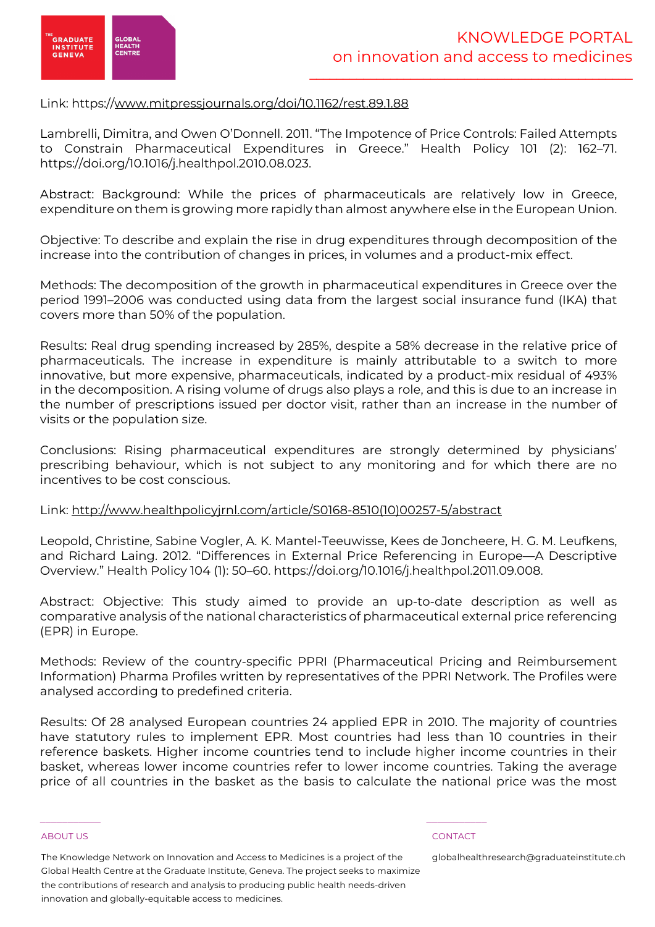

# Link: https://www.mitpressjournals.org/doi/10.1162/rest.89.1.88

Lambrelli, Dimitra, and Owen O'Donnell. 2011. "The Impotence of Price Controls: Failed Attempts to Constrain Pharmaceutical Expenditures in Greece." Health Policy 101 (2): 162–71. https://doi.org/10.1016/j.healthpol.2010.08.023.

Abstract: Background: While the prices of pharmaceuticals are relatively low in Greece, expenditure on them is growing more rapidly than almost anywhere else in the European Union.

Objective: To describe and explain the rise in drug expenditures through decomposition of the increase into the contribution of changes in prices, in volumes and a product-mix effect.

Methods: The decomposition of the growth in pharmaceutical expenditures in Greece over the period 1991–2006 was conducted using data from the largest social insurance fund (IKA) that covers more than 50% of the population.

Results: Real drug spending increased by 285%, despite a 58% decrease in the relative price of pharmaceuticals. The increase in expenditure is mainly attributable to a switch to more innovative, but more expensive, pharmaceuticals, indicated by a product-mix residual of 493% in the decomposition. A rising volume of drugs also plays a role, and this is due to an increase in the number of prescriptions issued per doctor visit, rather than an increase in the number of visits or the population size.

Conclusions: Rising pharmaceutical expenditures are strongly determined by physicians' prescribing behaviour, which is not subject to any monitoring and for which there are no incentives to be cost conscious.

Link: http://www.healthpolicyjrnl.com/article/S0168-8510(10)00257-5/abstract

Leopold, Christine, Sabine Vogler, A. K. Mantel-Teeuwisse, Kees de Joncheere, H. G. M. Leufkens, and Richard Laing. 2012. "Differences in External Price Referencing in Europe—A Descriptive Overview." Health Policy 104 (1): 50–60. https://doi.org/10.1016/j.healthpol.2011.09.008.

Abstract: Objective: This study aimed to provide an up-to-date description as well as comparative analysis of the national characteristics of pharmaceutical external price referencing (EPR) in Europe.

Methods: Review of the country-specific PPRI (Pharmaceutical Pricing and Reimbursement Information) Pharma Profiles written by representatives of the PPRI Network. The Profiles were analysed according to predefined criteria.

Results: Of 28 analysed European countries 24 applied EPR in 2010. The majority of countries have statutory rules to implement EPR. Most countries had less than 10 countries in their reference baskets. Higher income countries tend to include higher income countries in their basket, whereas lower income countries refer to lower income countries. Taking the average price of all countries in the basket as the basis to calculate the national price was the most

### ABOUT US CONTACT AND RESERVE THE RELEASE OF THE RELEASE OF THE RELEASE OF THE RELEASE OF THE RELEASE OF THE RELEASE OF THE RELEASE OF THE RELEASE OF THE RELEASE OF THE RELEASE OF THE RELEASE OF THE RELEASE OF THE RELEASE O

The Knowledge Network on Innovation and Access to Medicines is a project of the Global Health Centre at the Graduate Institute, Geneva. The project seeks to maximize the contributions of research and analysis to producing public health needs-driven innovation and globally-equitable access to medicines.

 $\frac{1}{2}$  , and the set of the set of the set of the set of the set of the set of the set of the set of the set of the set of the set of the set of the set of the set of the set of the set of the set of the set of the set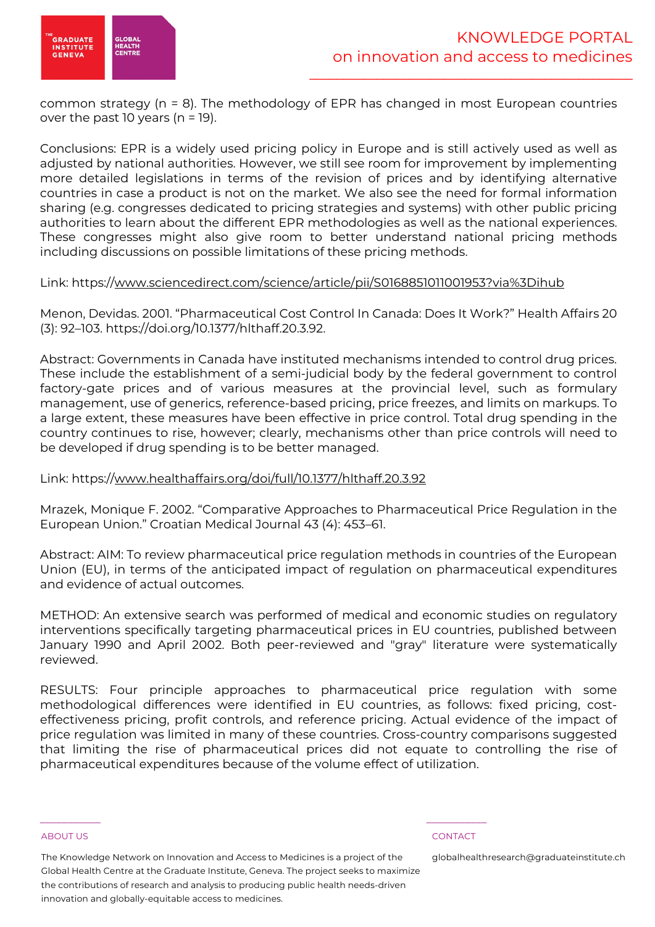

common strategy (n = 8). The methodology of EPR has changed in most European countries over the past 10 years ( $n = 19$ ).

Conclusions: EPR is a widely used pricing policy in Europe and is still actively used as well as adjusted by national authorities. However, we still see room for improvement by implementing more detailed legislations in terms of the revision of prices and by identifying alternative countries in case a product is not on the market. We also see the need for formal information sharing (e.g. congresses dedicated to pricing strategies and systems) with other public pricing authorities to learn about the different EPR methodologies as well as the national experiences. These congresses might also give room to better understand national pricing methods including discussions on possible limitations of these pricing methods.

# Link: https://www.sciencedirect.com/science/article/pii/S0168851011001953?via%3Dihub

Menon, Devidas. 2001. "Pharmaceutical Cost Control In Canada: Does It Work?" Health Affairs 20 (3): 92–103. https://doi.org/10.1377/hlthaff.20.3.92.

Abstract: Governments in Canada have instituted mechanisms intended to control drug prices. These include the establishment of a semi-judicial body by the federal government to control factory-gate prices and of various measures at the provincial level, such as formulary management, use of generics, reference-based pricing, price freezes, and limits on markups. To a large extent, these measures have been effective in price control. Total drug spending in the country continues to rise, however; clearly, mechanisms other than price controls will need to be developed if drug spending is to be better managed.

# Link: https://www.healthaffairs.org/doi/full/10.1377/hlthaff.20.3.92

Mrazek, Monique F. 2002. "Comparative Approaches to Pharmaceutical Price Regulation in the European Union." Croatian Medical Journal 43 (4): 453–61.

Abstract: AIM: To review pharmaceutical price regulation methods in countries of the European Union (EU), in terms of the anticipated impact of regulation on pharmaceutical expenditures and evidence of actual outcomes.

METHOD: An extensive search was performed of medical and economic studies on regulatory interventions specifically targeting pharmaceutical prices in EU countries, published between January 1990 and April 2002. Both peer-reviewed and "gray" literature were systematically reviewed.

RESULTS: Four principle approaches to pharmaceutical price regulation with some methodological differences were identified in EU countries, as follows: fixed pricing, costeffectiveness pricing, profit controls, and reference pricing. Actual evidence of the impact of price regulation was limited in many of these countries. Cross-country comparisons suggested that limiting the rise of pharmaceutical prices did not equate to controlling the rise of pharmaceutical expenditures because of the volume effect of utilization.

### ABOUT US CONTACT AND RESERVE THE RELEASE OF THE RELEASE OF THE RELEASE OF THE RELEASE OF THE RELEASE OF THE RELEASE OF THE RELEASE OF THE RELEASE OF THE RELEASE OF THE RELEASE OF THE RELEASE OF THE RELEASE OF THE RELEASE O

The Knowledge Network on Innovation and Access to Medicines is a project of the Global Health Centre at the Graduate Institute, Geneva. The project seeks to maximize the contributions of research and analysis to producing public health needs-driven innovation and globally-equitable access to medicines.

 $\frac{1}{2}$  , and the set of the set of the set of the set of the set of the set of the set of the set of the set of the set of the set of the set of the set of the set of the set of the set of the set of the set of the set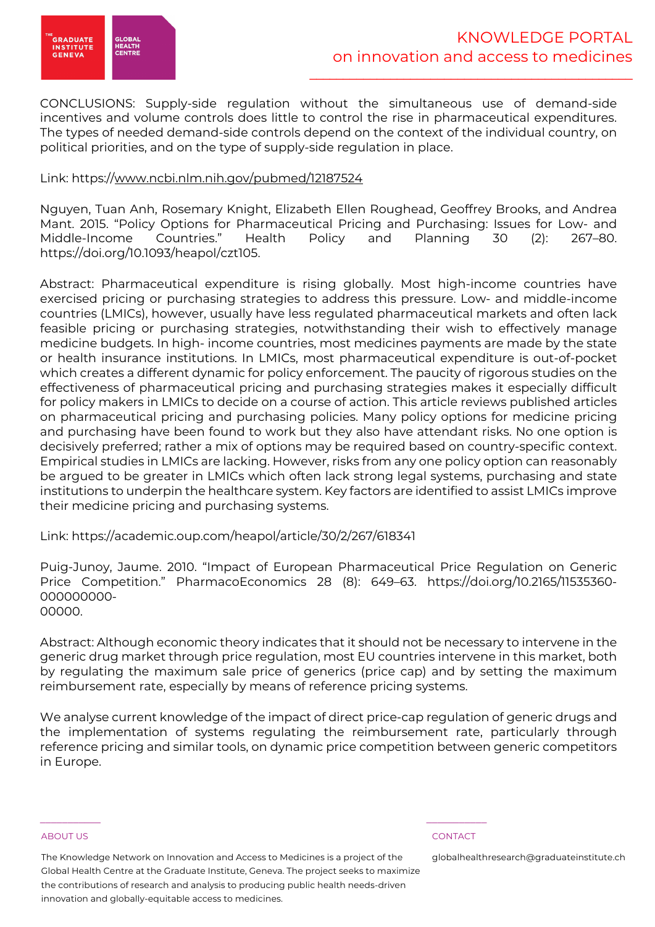

CONCLUSIONS: Supply-side regulation without the simultaneous use of demand-side incentives and volume controls does little to control the rise in pharmaceutical expenditures. The types of needed demand-side controls depend on the context of the individual country, on political priorities, and on the type of supply-side regulation in place.

# Link: https://www.ncbi.nlm.nih.gov/pubmed/12187524

Nguyen, Tuan Anh, Rosemary Knight, Elizabeth Ellen Roughead, Geoffrey Brooks, and Andrea Mant. 2015. "Policy Options for Pharmaceutical Pricing and Purchasing: Issues for Low- and Middle-Income Countries." Health Policy and Planning 30 (2): 267–80. https://doi.org/10.1093/heapol/czt105.

Abstract: Pharmaceutical expenditure is rising globally. Most high-income countries have exercised pricing or purchasing strategies to address this pressure. Low- and middle-income countries (LMICs), however, usually have less regulated pharmaceutical markets and often lack feasible pricing or purchasing strategies, notwithstanding their wish to effectively manage medicine budgets. In high- income countries, most medicines payments are made by the state or health insurance institutions. In LMICs, most pharmaceutical expenditure is out-of-pocket which creates a different dynamic for policy enforcement. The paucity of rigorous studies on the effectiveness of pharmaceutical pricing and purchasing strategies makes it especially difficult for policy makers in LMICs to decide on a course of action. This article reviews published articles on pharmaceutical pricing and purchasing policies. Many policy options for medicine pricing and purchasing have been found to work but they also have attendant risks. No one option is decisively preferred; rather a mix of options may be required based on country-specific context. Empirical studies in LMICs are lacking. However, risks from any one policy option can reasonably be argued to be greater in LMICs which often lack strong legal systems, purchasing and state institutions to underpin the healthcare system. Key factors are identified to assist LMICs improve their medicine pricing and purchasing systems.

Link: https://academic.oup.com/heapol/article/30/2/267/618341

Puig-Junoy, Jaume. 2010. "Impact of European Pharmaceutical Price Regulation on Generic Price Competition." PharmacoEconomics 28 (8): 649–63. https://doi.org/10.2165/11535360- 000000000-00000.

Abstract: Although economic theory indicates that it should not be necessary to intervene in the generic drug market through price regulation, most EU countries intervene in this market, both by regulating the maximum sale price of generics (price cap) and by setting the maximum reimbursement rate, especially by means of reference pricing systems.

We analyse current knowledge of the impact of direct price-cap regulation of generic drugs and the implementation of systems regulating the reimbursement rate, particularly through reference pricing and similar tools, on dynamic price competition between generic competitors in Europe.

### ABOUT US CONTACT AND RESERVE THE RELEASE OF THE RELEASE OF THE RELEASE OF THE RELEASE OF THE RELEASE OF THE RELEASE OF THE RELEASE OF THE RELEASE OF THE RELEASE OF THE RELEASE OF THE RELEASE OF THE RELEASE OF THE RELEASE O

The Knowledge Network on Innovation and Access to Medicines is a project of the Global Health Centre at the Graduate Institute, Geneva. The project seeks to maximize the contributions of research and analysis to producing public health needs-driven innovation and globally-equitable access to medicines.

 $\frac{1}{2}$  , and the set of the set of the set of the set of the set of the set of the set of the set of the set of the set of the set of the set of the set of the set of the set of the set of the set of the set of the set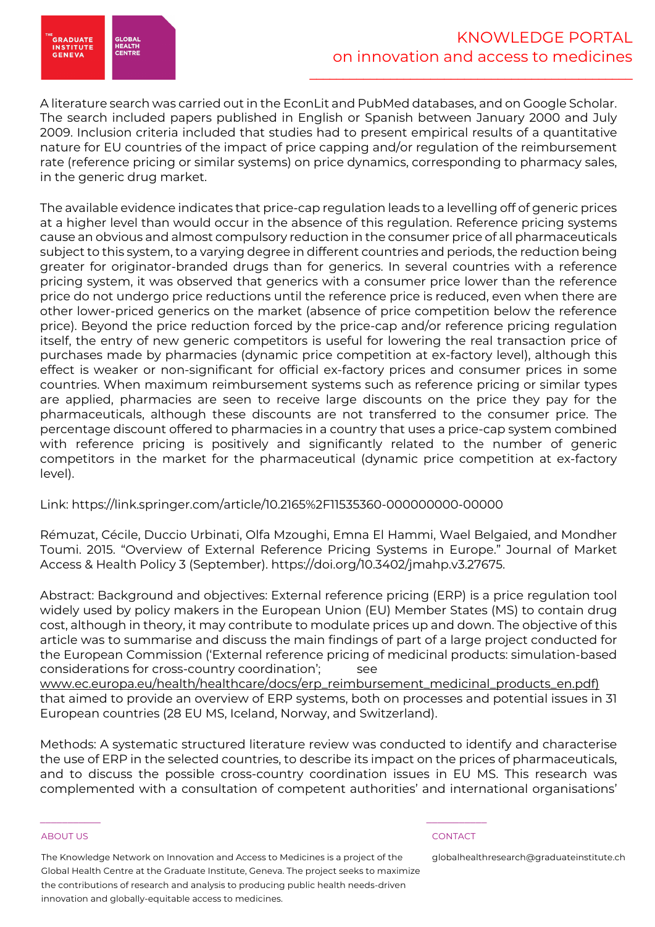

A literature search was carried out in the EconLit and PubMed databases, and on Google Scholar. The search included papers published in English or Spanish between January 2000 and July 2009. Inclusion criteria included that studies had to present empirical results of a quantitative nature for EU countries of the impact of price capping and/or regulation of the reimbursement rate (reference pricing or similar systems) on price dynamics, corresponding to pharmacy sales, in the generic drug market.

The available evidence indicates that price-cap regulation leads to a levelling off of generic prices at a higher level than would occur in the absence of this regulation. Reference pricing systems cause an obvious and almost compulsory reduction in the consumer price of all pharmaceuticals subject to this system, to a varying degree in different countries and periods, the reduction being greater for originator-branded drugs than for generics. In several countries with a reference pricing system, it was observed that generics with a consumer price lower than the reference price do not undergo price reductions until the reference price is reduced, even when there are other lower-priced generics on the market (absence of price competition below the reference price). Beyond the price reduction forced by the price-cap and/or reference pricing regulation itself, the entry of new generic competitors is useful for lowering the real transaction price of purchases made by pharmacies (dynamic price competition at ex-factory level), although this effect is weaker or non-significant for official ex-factory prices and consumer prices in some countries. When maximum reimbursement systems such as reference pricing or similar types are applied, pharmacies are seen to receive large discounts on the price they pay for the pharmaceuticals, although these discounts are not transferred to the consumer price. The percentage discount offered to pharmacies in a country that uses a price-cap system combined with reference pricing is positively and significantly related to the number of generic competitors in the market for the pharmaceutical (dynamic price competition at ex-factory level).

Link: https://link.springer.com/article/10.2165%2F11535360-000000000-00000

Rémuzat, Cécile, Duccio Urbinati, Olfa Mzoughi, Emna El Hammi, Wael Belgaied, and Mondher Toumi. 2015. "Overview of External Reference Pricing Systems in Europe." Journal of Market Access & Health Policy 3 (September). https://doi.org/10.3402/jmahp.v3.27675.

Abstract: Background and objectives: External reference pricing (ERP) is a price regulation tool widely used by policy makers in the European Union (EU) Member States (MS) to contain drug cost, although in theory, it may contribute to modulate prices up and down. The objective of this article was to summarise and discuss the main findings of part of a large project conducted for the European Commission ('External reference pricing of medicinal products: simulation-based considerations for cross-country coordination'; see www.ec.europa.eu/health/healthcare/docs/erp\_reimbursement\_medicinal\_products\_en.pdf)

that aimed to provide an overview of ERP systems, both on processes and potential issues in 31 European countries (28 EU MS, Iceland, Norway, and Switzerland).

Methods: A systematic structured literature review was conducted to identify and characterise the use of ERP in the selected countries, to describe its impact on the prices of pharmaceuticals, and to discuss the possible cross-country coordination issues in EU MS. This research was complemented with a consultation of competent authorities' and international organisations'

### ABOUT US CONTACT AND RESERVE THE RELEASE OF THE RELEASE OF THE RELEASE OF THE RELEASE OF THE RELEASE OF THE RELEASE OF THE RELEASE OF THE RELEASE OF THE RELEASE OF THE RELEASE OF THE RELEASE OF THE RELEASE OF THE RELEASE O

The Knowledge Network on Innovation and Access to Medicines is a project of the Global Health Centre at the Graduate Institute, Geneva. The project seeks to maximize the contributions of research and analysis to producing public health needs-driven innovation and globally-equitable access to medicines.

 $\frac{1}{2}$  , and the set of the set of the set of the set of the set of the set of the set of the set of the set of the set of the set of the set of the set of the set of the set of the set of the set of the set of the set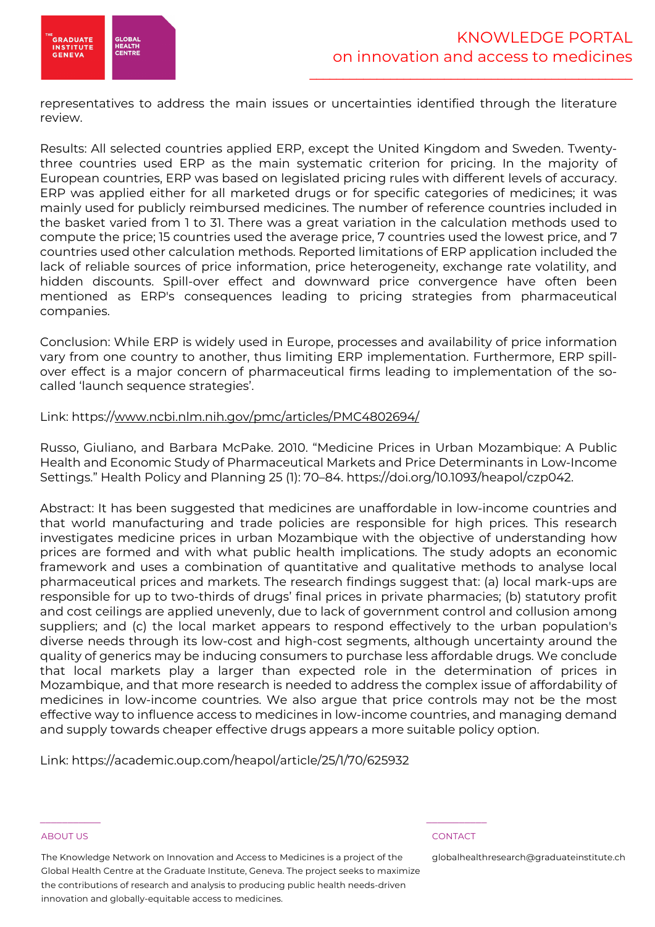

representatives to address the main issues or uncertainties identified through the literature review.

Results: All selected countries applied ERP, except the United Kingdom and Sweden. Twentythree countries used ERP as the main systematic criterion for pricing. In the majority of European countries, ERP was based on legislated pricing rules with different levels of accuracy. ERP was applied either for all marketed drugs or for specific categories of medicines; it was mainly used for publicly reimbursed medicines. The number of reference countries included in the basket varied from 1 to 31. There was a great variation in the calculation methods used to compute the price; 15 countries used the average price, 7 countries used the lowest price, and 7 countries used other calculation methods. Reported limitations of ERP application included the lack of reliable sources of price information, price heterogeneity, exchange rate volatility, and hidden discounts. Spill-over effect and downward price convergence have often been mentioned as ERP's consequences leading to pricing strategies from pharmaceutical companies.

Conclusion: While ERP is widely used in Europe, processes and availability of price information vary from one country to another, thus limiting ERP implementation. Furthermore, ERP spillover effect is a major concern of pharmaceutical firms leading to implementation of the socalled 'launch sequence strategies'.

# Link: https://www.ncbi.nlm.nih.gov/pmc/articles/PMC4802694/

Russo, Giuliano, and Barbara McPake. 2010. "Medicine Prices in Urban Mozambique: A Public Health and Economic Study of Pharmaceutical Markets and Price Determinants in Low-Income Settings." Health Policy and Planning 25 (1): 70–84. https://doi.org/10.1093/heapol/czp042.

Abstract: It has been suggested that medicines are unaffordable in low-income countries and that world manufacturing and trade policies are responsible for high prices. This research investigates medicine prices in urban Mozambique with the objective of understanding how prices are formed and with what public health implications. The study adopts an economic framework and uses a combination of quantitative and qualitative methods to analyse local pharmaceutical prices and markets. The research findings suggest that: (a) local mark-ups are responsible for up to two-thirds of drugs' final prices in private pharmacies; (b) statutory profit and cost ceilings are applied unevenly, due to lack of government control and collusion among suppliers; and (c) the local market appears to respond effectively to the urban population's diverse needs through its low-cost and high-cost segments, although uncertainty around the quality of generics may be inducing consumers to purchase less affordable drugs. We conclude that local markets play a larger than expected role in the determination of prices in Mozambique, and that more research is needed to address the complex issue of affordability of medicines in low-income countries. We also argue that price controls may not be the most effective way to influence access to medicines in low-income countries, and managing demand and supply towards cheaper effective drugs appears a more suitable policy option.

Link: https://academic.oup.com/heapol/article/25/1/70/625932

### ABOUT US CONTACT AND RESERVE THE RELEASE OF THE RELEASE OF THE RELEASE OF THE RELEASE OF THE RELEASE OF THE RELEASE OF THE RELEASE OF THE RELEASE OF THE RELEASE OF THE RELEASE OF THE RELEASE OF THE RELEASE OF THE RELEASE O

The Knowledge Network on Innovation and Access to Medicines is a project of the Global Health Centre at the Graduate Institute, Geneva. The project seeks to maximize the contributions of research and analysis to producing public health needs-driven innovation and globally-equitable access to medicines.

 $\frac{1}{2}$  , and the set of the set of the set of the set of the set of the set of the set of the set of the set of the set of the set of the set of the set of the set of the set of the set of the set of the set of the set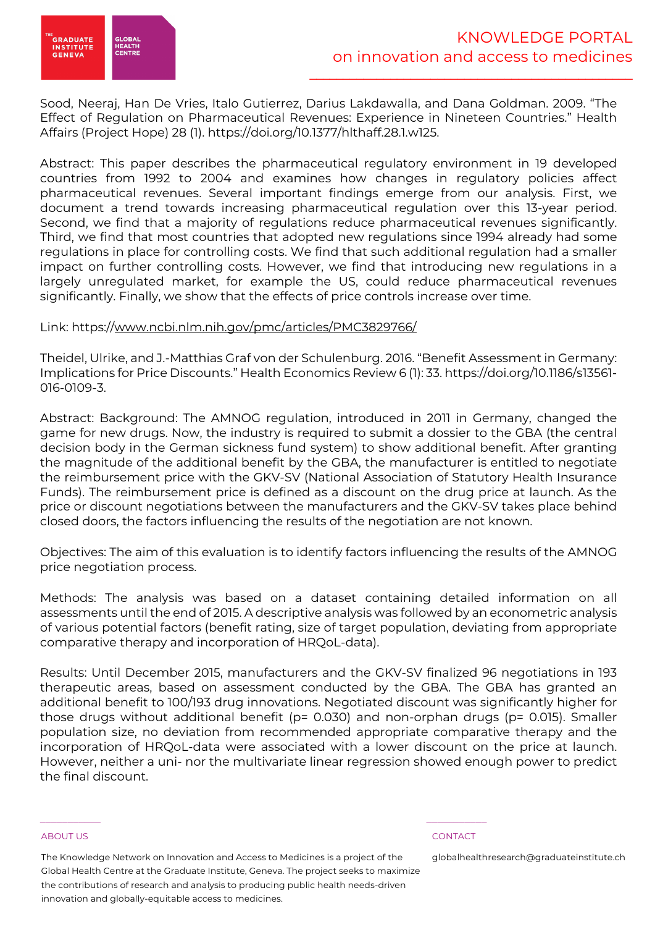

Sood, Neeraj, Han De Vries, Italo Gutierrez, Darius Lakdawalla, and Dana Goldman. 2009. "The Effect of Regulation on Pharmaceutical Revenues: Experience in Nineteen Countries." Health Affairs (Project Hope) 28 (1). https://doi.org/10.1377/hlthaff.28.1.w125.

Abstract: This paper describes the pharmaceutical regulatory environment in 19 developed countries from 1992 to 2004 and examines how changes in regulatory policies affect pharmaceutical revenues. Several important findings emerge from our analysis. First, we document a trend towards increasing pharmaceutical regulation over this 13-year period. Second, we find that a majority of regulations reduce pharmaceutical revenues significantly. Third, we find that most countries that adopted new regulations since 1994 already had some regulations in place for controlling costs. We find that such additional regulation had a smaller impact on further controlling costs. However, we find that introducing new regulations in a largely unregulated market, for example the US, could reduce pharmaceutical revenues significantly. Finally, we show that the effects of price controls increase over time.

# Link: https://www.ncbi.nlm.nih.gov/pmc/articles/PMC3829766/

Theidel, Ulrike, and J.-Matthias Graf von der Schulenburg. 2016. "Benefit Assessment in Germany: Implications for Price Discounts." Health Economics Review 6 (1): 33. https://doi.org/10.1186/s13561- 016-0109-3.

Abstract: Background: The AMNOG regulation, introduced in 2011 in Germany, changed the game for new drugs. Now, the industry is required to submit a dossier to the GBA (the central decision body in the German sickness fund system) to show additional benefit. After granting the magnitude of the additional benefit by the GBA, the manufacturer is entitled to negotiate the reimbursement price with the GKV-SV (National Association of Statutory Health Insurance Funds). The reimbursement price is defined as a discount on the drug price at launch. As the price or discount negotiations between the manufacturers and the GKV-SV takes place behind closed doors, the factors influencing the results of the negotiation are not known.

Objectives: The aim of this evaluation is to identify factors influencing the results of the AMNOG price negotiation process.

Methods: The analysis was based on a dataset containing detailed information on all assessments until the end of 2015. A descriptive analysis was followed by an econometric analysis of various potential factors (benefit rating, size of target population, deviating from appropriate comparative therapy and incorporation of HRQoL-data).

Results: Until December 2015, manufacturers and the GKV-SV finalized 96 negotiations in 193 therapeutic areas, based on assessment conducted by the GBA. The GBA has granted an additional benefit to 100/193 drug innovations. Negotiated discount was significantly higher for those drugs without additional benefit (p= 0.030) and non-orphan drugs (p= 0.015). Smaller population size, no deviation from recommended appropriate comparative therapy and the incorporation of HRQoL-data were associated with a lower discount on the price at launch. However, neither a uni- nor the multivariate linear regression showed enough power to predict the final discount.

### ABOUT US CONTACT AND RESERVE THE RELEASE OF THE RELEASE OF THE RELEASE OF THE RELEASE OF THE RELEASE OF THE RELEASE OF THE RELEASE OF THE RELEASE OF THE RELEASE OF THE RELEASE OF THE RELEASE OF THE RELEASE OF THE RELEASE O

The Knowledge Network on Innovation and Access to Medicines is a project of the Global Health Centre at the Graduate Institute, Geneva. The project seeks to maximize the contributions of research and analysis to producing public health needs-driven innovation and globally-equitable access to medicines.

 $\frac{1}{2}$  , and the set of the set of the set of the set of the set of the set of the set of the set of the set of the set of the set of the set of the set of the set of the set of the set of the set of the set of the set